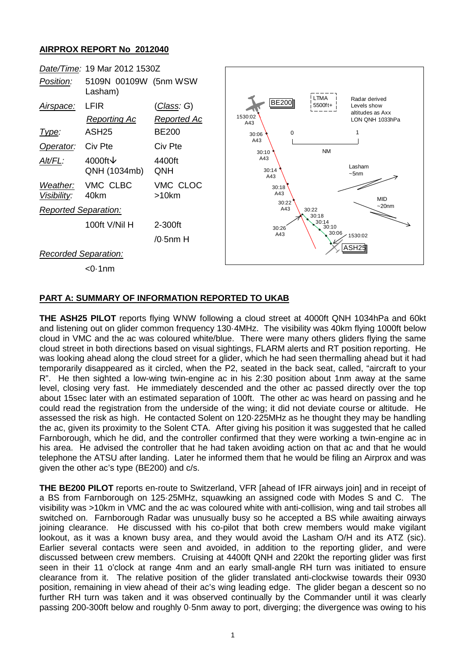## **AIRPROX REPORT No 2012040**



## **PART A: SUMMARY OF INFORMATION REPORTED TO UKAB**

**THE ASH25 PILOT** reports flying WNW following a cloud street at 4000ft QNH 1034hPa and 60kt and listening out on glider common frequency 130·4MHz. The visibility was 40km flying 1000ft below cloud in VMC and the ac was coloured white/blue. There were many others gliders flying the same cloud street in both directions based on visual sightings, FLARM alerts and RT position reporting. He was looking ahead along the cloud street for a glider, which he had seen thermalling ahead but it had temporarily disappeared as it circled, when the P2, seated in the back seat, called, "aircraft to your R". He then sighted a low-wing twin-engine ac in his 2:30 position about 1nm away at the same level, closing very fast. He immediately descended and the other ac passed directly over the top about 15sec later with an estimated separation of 100ft. The other ac was heard on passing and he could read the registration from the underside of the wing; it did not deviate course or altitude. He assessed the risk as high. He contacted Solent on 120·225MHz as he thought they may be handling the ac, given its proximity to the Solent CTA. After giving his position it was suggested that he called Farnborough, which he did, and the controller confirmed that they were working a twin-engine ac in his area. He advised the controller that he had taken avoiding action on that ac and that he would telephone the ATSU after landing. Later he informed them that he would be filing an Airprox and was given the other ac's type (BE200) and c/s.

**THE BE200 PILOT** reports en-route to Switzerland, VFR [ahead of IFR airways join] and in receipt of a BS from Farnborough on 125·25MHz, squawking an assigned code with Modes S and C. The visibility was >10km in VMC and the ac was coloured white with anti-collision, wing and tail strobes all switched on. Farnborough Radar was unusually busy so he accepted a BS while awaiting airways joining clearance. He discussed with his co-pilot that both crew members would make vigilant lookout, as it was a known busy area, and they would avoid the Lasham O/H and its ATZ (sic). Earlier several contacts were seen and avoided, in addition to the reporting glider, and were discussed between crew members. Cruising at 4400ft QNH and 220kt the reporting glider was first seen in their 11 o'clock at range 4nm and an early small-angle RH turn was initiated to ensure clearance from it. The relative position of the glider translated anti-clockwise towards their 0930 position, remaining in view ahead of their ac's wing leading edge. The glider began a descent so no further RH turn was taken and it was observed continually by the Commander until it was clearly passing 200-300ft below and roughly 0·5nm away to port, diverging; the divergence was owing to his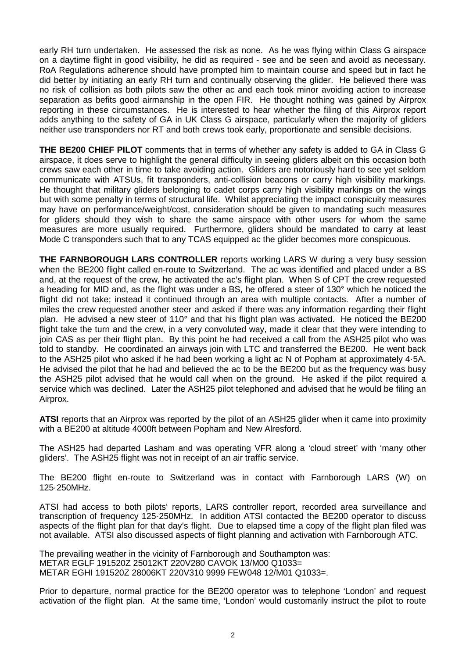early RH turn undertaken. He assessed the risk as none. As he was flying within Class G airspace on a daytime flight in good visibility, he did as required - see and be seen and avoid as necessary. RoA Regulations adherence should have prompted him to maintain course and speed but in fact he did better by initiating an early RH turn and continually observing the glider. He believed there was no risk of collision as both pilots saw the other ac and each took minor avoiding action to increase separation as befits good airmanship in the open FIR. He thought nothing was gained by Airprox reporting in these circumstances. He is interested to hear whether the filing of this Airprox report adds anything to the safety of GA in UK Class G airspace, particularly when the majority of gliders neither use transponders nor RT and both crews took early, proportionate and sensible decisions.

**THE BE200 CHIEF PILOT** comments that in terms of whether any safety is added to GA in Class G airspace, it does serve to highlight the general difficulty in seeing gliders albeit on this occasion both crews saw each other in time to take avoiding action. Gliders are notoriously hard to see yet seldom communicate with ATSUs, fit transponders, anti-collision beacons or carry high visibility markings. He thought that military gliders belonging to cadet corps carry high visibility markings on the wings but with some penalty in terms of structural life. Whilst appreciating the impact conspicuity measures may have on performance/weight/cost, consideration should be given to mandating such measures for gliders should they wish to share the same airspace with other users for whom the same measures are more usually required. Furthermore, gliders should be mandated to carry at least Mode C transponders such that to any TCAS equipped ac the glider becomes more conspicuous.

**THE FARNBOROUGH LARS CONTROLLER** reports working LARS W during a very busy session when the BE200 flight called en-route to Switzerland. The ac was identified and placed under a BS and, at the request of the crew, he activated the ac's flight plan. When S of CPT the crew requested a heading for MID and, as the flight was under a BS, he offered a steer of 130° which he noticed the flight did not take; instead it continued through an area with multiple contacts. After a number of miles the crew requested another steer and asked if there was any information regarding their flight plan. He advised a new steer of 110° and that his flight plan was activated. He noticed the BE200 flight take the turn and the crew, in a very convoluted way, made it clear that they were intending to join CAS as per their flight plan. By this point he had received a call from the ASH25 pilot who was told to standby. He coordinated an airways join with LTC and transferred the BE200. He went back to the ASH25 pilot who asked if he had been working a light ac N of Popham at approximately 4·5A. He advised the pilot that he had and believed the ac to be the BE200 but as the frequency was busy the ASH25 pilot advised that he would call when on the ground. He asked if the pilot required a service which was declined. Later the ASH25 pilot telephoned and advised that he would be filing an Airprox.

**ATSI** reports that an Airprox was reported by the pilot of an ASH25 glider when it came into proximity with a BE200 at altitude 4000ft between Popham and New Alresford.

The ASH25 had departed Lasham and was operating VFR along a 'cloud street' with 'many other gliders'. The ASH25 flight was not in receipt of an air traffic service.

The BE200 flight en-route to Switzerland was in contact with Farnborough LARS (W) on 125·250MHz.

ATSI had access to both pilots' reports, LARS controller report, recorded area surveillance and transcription of frequency 125·250MHz. In addition ATSI contacted the BE200 operator to discuss aspects of the flight plan for that day's flight. Due to elapsed time a copy of the flight plan filed was not available. ATSI also discussed aspects of flight planning and activation with Farnborough ATC.

The prevailing weather in the vicinity of Farnborough and Southampton was: METAR EGLF 191520Z 25012KT 220V280 CAVOK 13/M00 Q1033= METAR EGHI 191520Z 28006KT 220V310 9999 FEW048 12/M01 Q1033=.

Prior to departure, normal practice for the BE200 operator was to telephone 'London' and request activation of the flight plan. At the same time, 'London' would customarily instruct the pilot to route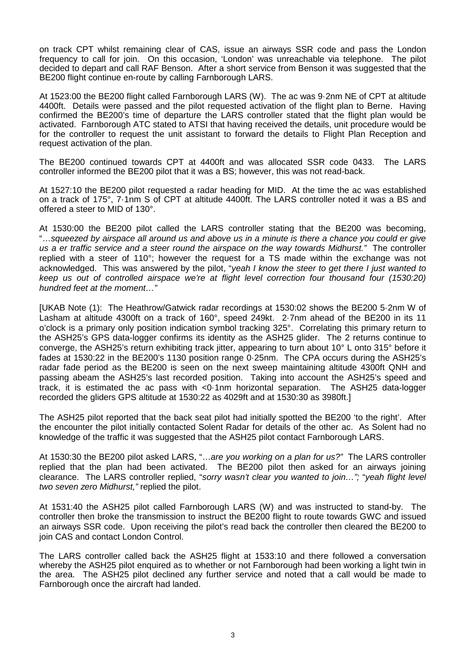on track CPT whilst remaining clear of CAS, issue an airways SSR code and pass the London frequency to call for join. On this occasion, 'London' was unreachable via telephone. The pilot decided to depart and call RAF Benson. After a short service from Benson it was suggested that the BE200 flight continue en-route by calling Farnborough LARS.

At 1523:00 the BE200 flight called Farnborough LARS (W). The ac was 9·2nm NE of CPT at altitude 4400ft. Details were passed and the pilot requested activation of the flight plan to Berne. Having confirmed the BE200's time of departure the LARS controller stated that the flight plan would be activated. Farnborough ATC stated to ATSI that having received the details, unit procedure would be for the controller to request the unit assistant to forward the details to Flight Plan Reception and request activation of the plan.

The BE200 continued towards CPT at 4400ft and was allocated SSR code 0433. The LARS controller informed the BE200 pilot that it was a BS; however, this was not read-back.

At 1527:10 the BE200 pilot requested a radar heading for MID. At the time the ac was established on a track of 175°, 7·1nm S of CPT at altitude 4400ft. The LARS controller noted it was a BS and offered a steer to MID of 130°.

At 1530:00 the BE200 pilot called the LARS controller stating that the BE200 was becoming, "…*squeezed by airspace all around us and above us in a minute is there a chance you could er give us a er traffic service and a steer round the airspace on the way towards Midhurst."* The controller replied with a steer of 110°; however the request for a TS made within the exchange was not acknowledged. This was answered by the pilot, "*yeah I know the steer to get there I just wanted to keep us out of controlled airspace we're at flight level correction four thousand four (1530:20) hundred feet at the moment…"*

[UKAB Note (1): The Heathrow/Gatwick radar recordings at 1530:02 shows the BE200 5·2nm W of Lasham at altitude 4300ft on a track of 160°, speed 249kt. 2.7nm ahead of the BE200 in its 11 o'clock is a primary only position indication symbol tracking 325°. Correlating this primary return to the ASH25's GPS data-logger confirms its identity as the ASH25 glider. The 2 returns continue to converge, the ASH25's return exhibiting track jitter, appearing to turn about 10° L onto 315° before it fades at 1530:22 in the BE200's 1130 position range 0·25nm. The CPA occurs during the ASH25's radar fade period as the BE200 is seen on the next sweep maintaining altitude 4300ft QNH and passing abeam the ASH25's last recorded position. Taking into account the ASH25's speed and track, it is estimated the ac pass with <0·1nm horizontal separation. The ASH25 data-logger recorded the gliders GPS altitude at 1530:22 as 4029ft and at 1530:30 as 3980ft.]

The ASH25 pilot reported that the back seat pilot had initially spotted the BE200 'to the right'. After the encounter the pilot initially contacted Solent Radar for details of the other ac. As Solent had no knowledge of the traffic it was suggested that the ASH25 pilot contact Farnborough LARS.

At 1530:30 the BE200 pilot asked LARS, "…*are you working on a plan for us?"* The LARS controller replied that the plan had been activated. The BE200 pilot then asked for an airways joining clearance. The LARS controller replied, "*sorry wasn't clear you wanted to join…";* "*yeah flight level two seven zero Midhurst,"* replied the pilot.

At 1531:40 the ASH25 pilot called Farnborough LARS (W) and was instructed to stand-by. The controller then broke the transmission to instruct the BE200 flight to route towards GWC and issued an airways SSR code. Upon receiving the pilot's read back the controller then cleared the BE200 to join CAS and contact London Control.

The LARS controller called back the ASH25 flight at 1533:10 and there followed a conversation whereby the ASH25 pilot enquired as to whether or not Farnborough had been working a light twin in the area. The ASH25 pilot declined any further service and noted that a call would be made to Farnborough once the aircraft had landed.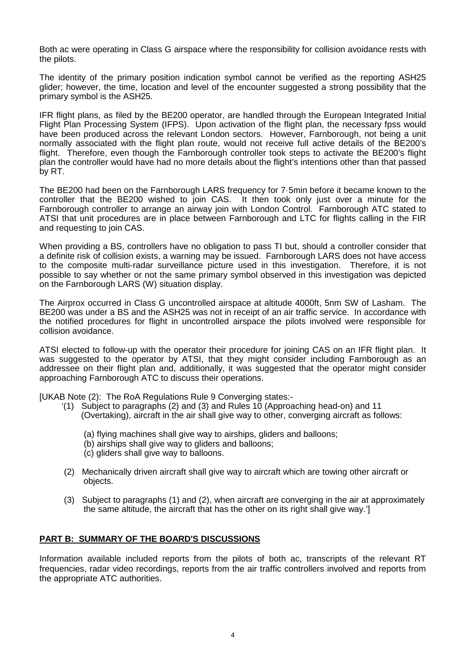Both ac were operating in Class G airspace where the responsibility for collision avoidance rests with the pilots.

The identity of the primary position indication symbol cannot be verified as the reporting ASH25 glider; however, the time, location and level of the encounter suggested a strong possibility that the primary symbol is the ASH25.

IFR flight plans, as filed by the BE200 operator, are handled through the European Integrated Initial Flight Plan Processing System (IFPS). Upon activation of the flight plan, the necessary fpss would have been produced across the relevant London sectors. However, Farnborough, not being a unit normally associated with the flight plan route, would not receive full active details of the BE200's flight. Therefore, even though the Farnborough controller took steps to activate the BE200's flight plan the controller would have had no more details about the flight's intentions other than that passed by RT.

The BE200 had been on the Farnborough LARS frequency for 7·5min before it became known to the controller that the BE200 wished to join CAS. It then took only just over a minute for the Farnborough controller to arrange an airway join with London Control. Farnborough ATC stated to ATSI that unit procedures are in place between Farnborough and LTC for flights calling in the FIR and requesting to join CAS.

When providing a BS, controllers have no obligation to pass TI but, should a controller consider that a definite risk of collision exists, a warning may be issued. Farnborough LARS does not have access to the composite multi-radar surveillance picture used in this investigation. Therefore, it is not possible to say whether or not the same primary symbol observed in this investigation was depicted on the Farnborough LARS (W) situation display.

The Airprox occurred in Class G uncontrolled airspace at altitude 4000ft, 5nm SW of Lasham. The BE200 was under a BS and the ASH25 was not in receipt of an air traffic service. In accordance with the notified procedures for flight in uncontrolled airspace the pilots involved were responsible for collision avoidance.

ATSI elected to follow-up with the operator their procedure for joining CAS on an IFR flight plan. It was suggested to the operator by ATSI, that they might consider including Farnborough as an addressee on their flight plan and, additionally, it was suggested that the operator might consider approaching Farnborough ATC to discuss their operations.

[UKAB Note (2): The RoA Regulations Rule 9 Converging states:-

- '(1) Subject to paragraphs (2) and (3) and Rules 10 (Approaching head-on) and 11 (Overtaking), aircraft in the air shall give way to other, converging aircraft as follows:
	- (a) flying machines shall give way to airships, gliders and balloons;
	- (b) airships shall give way to gliders and balloons;
	- (c) gliders shall give way to balloons.
- (2) Mechanically driven aircraft shall give way to aircraft which are towing other aircraft or objects.
- (3) Subject to paragraphs (1) and (2), when aircraft are converging in the air at approximately the same altitude, the aircraft that has the other on its right shall give way.']

## **PART B: SUMMARY OF THE BOARD'S DISCUSSIONS**

Information available included reports from the pilots of both ac, transcripts of the relevant RT frequencies, radar video recordings, reports from the air traffic controllers involved and reports from the appropriate ATC authorities.